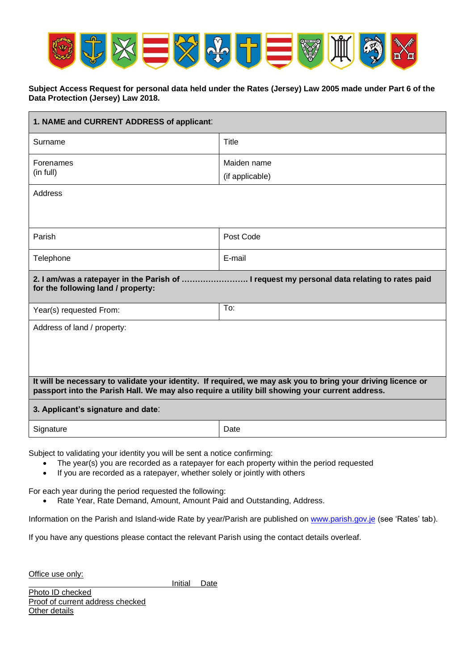

## **Subject Access Request for personal data held under the Rates (Jersey) Law 2005 made under Part 6 of the Data Protection (Jersey) Law 2018.**

| 1. NAME and CURRENT ADDRESS of applicant:                                                                                                                                                                       |                 |
|-----------------------------------------------------------------------------------------------------------------------------------------------------------------------------------------------------------------|-----------------|
| Surname                                                                                                                                                                                                         | Title           |
| Forenames                                                                                                                                                                                                       | Maiden name     |
| (in full)                                                                                                                                                                                                       | (if applicable) |
| Address                                                                                                                                                                                                         |                 |
|                                                                                                                                                                                                                 |                 |
| Parish                                                                                                                                                                                                          | Post Code       |
| Telephone                                                                                                                                                                                                       | E-mail          |
| 2. I am/was a ratepayer in the Parish of  I request my personal data relating to rates paid<br>for the following land / property:                                                                               |                 |
| Year(s) requested From:                                                                                                                                                                                         | To:             |
| Address of land / property:                                                                                                                                                                                     |                 |
| It will be necessary to validate your identity. If required, we may ask you to bring your driving licence or<br>passport into the Parish Hall. We may also require a utility bill showing your current address. |                 |
| 3. Applicant's signature and date:                                                                                                                                                                              |                 |
| Signature                                                                                                                                                                                                       | Date            |

Subject to validating your identity you will be sent a notice confirming:

- The year(s) you are recorded as a ratepayer for each property within the period requested
- If you are recorded as a ratepayer, whether solely or jointly with others

For each year during the period requested the following:

• Rate Year, Rate Demand, Amount, Amount Paid and Outstanding, Address.

Information on the Parish and Island-wide Rate by year/Parish are published on [www.parish.gov.je](http://www.parish.gov.je/) (see 'Rates' tab).

If you have any questions please contact the relevant Parish using the contact details overleaf.

Office use only:

Initial Date

Photo ID checked Proof of current address checked Other details